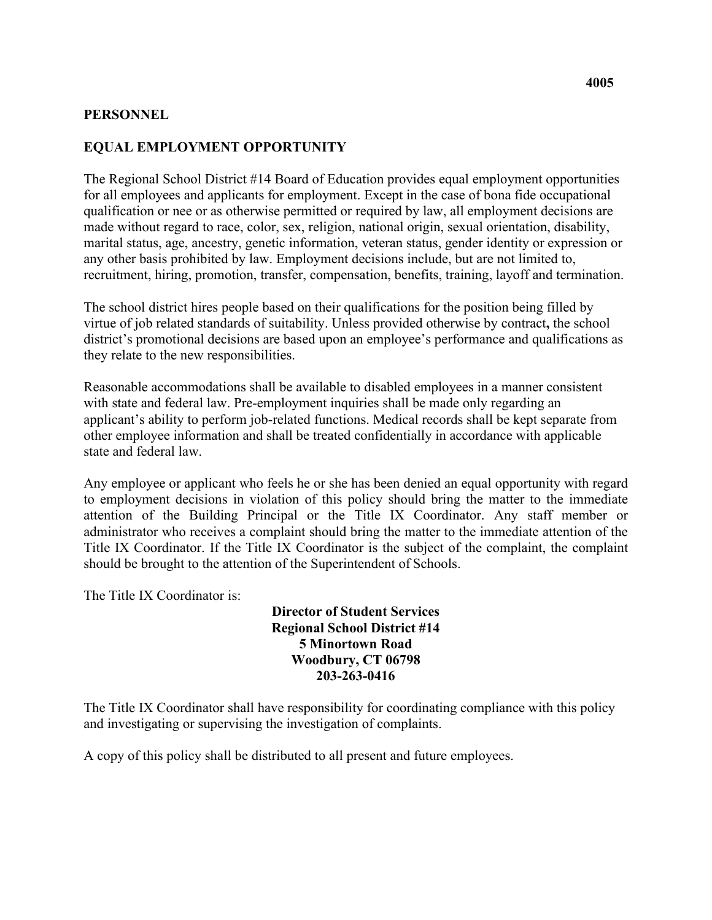## **PERSONNEL**

## **EQUAL EMPLOYMENT OPPORTUNITY**

The Regional School District #14 Board of Education provides equal employment opportunities for all employees and applicants for employment. Except in the case of bona fide occupational qualification or nee or as otherwise permitted or required by law, all employment decisions are made without regard to race, color, sex, religion, national origin, sexual orientation, disability, marital status, age, ancestry, genetic information, veteran status, gender identity or expression or any other basis prohibited by law. Employment decisions include, but are not limited to, recruitment, hiring, promotion, transfer, compensation, benefits, training, layoff and termination.

The school district hires people based on their qualifications for the position being filled by virtue of job related standards of suitability. Unless provided otherwise by contract**,** the school district's promotional decisions are based upon an employee's performance and qualifications as they relate to the new responsibilities.

Reasonable accommodations shall be available to disabled employees in a manner consistent with state and federal law. Pre-employment inquiries shall be made only regarding an applicant's ability to perform job-related functions. Medical records shall be kept separate from other employee information and shall be treated confidentially in accordance with applicable state and federal law.

 should be brought to the attention of the Superintendent of Schools. Any employee or applicant who feels he or she has been denied an equal opportunity with regard to employment decisions in violation of this policy should bring the matter to the immediate attention of the Building Principal or the Title IX Coordinator. Any staff member or administrator who receives a complaint should bring the matter to the immediate attention of the Title IX Coordinator. If the Title IX Coordinator is the subject of the complaint, the complaint

The Title IX Coordinator is:

## **Director of Student Services Regional School District #14 5 Minortown Road Woodbury, CT 06798 203-263-0416**

The Title IX Coordinator shall have responsibility for coordinating compliance with this policy and investigating or supervising the investigation of complaints.

A copy of this policy shall be distributed to all present and future employees.